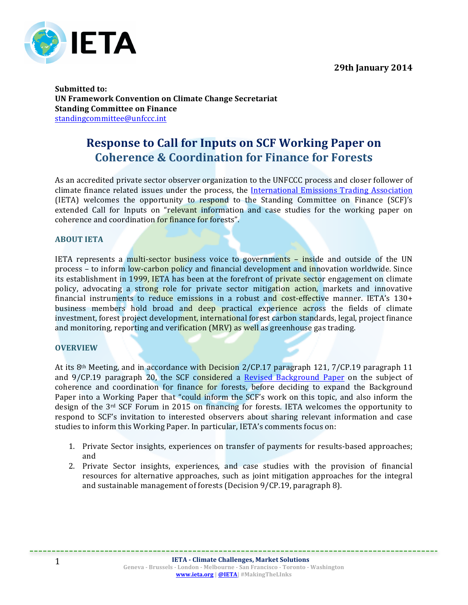

**Submitted to: UN Framework Convention on Climate Change Secretariat Standing Committee on Finance** standingcommittee@unfccc.int

# **Response to Call for Inputs on SCF Working Paper on Coherence & Coordination for Finance for Forests**

As an accredited private sector observer organization to the UNFCCC process and closer follower of climate finance related issues under the process, the International Emissions Trading Association  $(IETA)$  welcomes the opportunity to respond to the Standing Committee on Finance  $(SCF)$ 's extended Call for Inputs on "relevant information and case studies for the working paper on coherence and coordination for finance for forests".

#### **ABOUT IETA**

IETA represents a multi-sector business voice to governments - inside and outside of the UN process - to inform low-carbon policy and financial development and innovation worldwide. Since its establishment in 1999, IETA has been at the forefront of private sector engagement on climate policy, advocating a strong role for private sector mitigation action, markets and innovative financial instruments to reduce emissions in a robust and cost-effective manner. IETA's  $130+$ business members hold broad and deep practical experience across the fields of climate investment, forest project development, international forest carbon standards, legal, project finance and monitoring, reporting and verification (MRV) as well as greenhouse gas trading.

#### **OVERVIEW**

At its  $8<sup>th</sup>$  Meeting, and in accordance with Decision 2/CP.17 paragraph 121, 7/CP.19 paragraph 11 and 9/CP.19 paragraph 20, the SCF considered a Revised Background Paper on the subject of coherence and coordination for finance for forests, before deciding to expand the Background Paper into a Working Paper that "could inform the SCF's work on this topic, and also inform the design of the  $3<sup>rd</sup>$  SCF Forum in 2015 on financing for forests. IETA welcomes the opportunity to respond to SCF's invitation to interested observers about sharing relevant information and case studies to inform this Working Paper. In particular, IETA's comments focus on:

- 1. Private Sector insights, experiences on transfer of payments for results-based approaches; and
- 2. Private Sector insights, experiences, and case studies with the provision of financial resources for alternative approaches, such as joint mitigation approaches for the integral and sustainable management of forests (Decision  $9$ /CP.19, paragraph 8).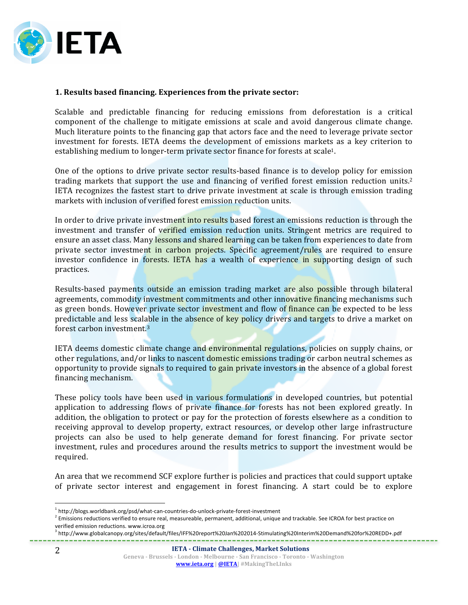

## **1. Results based financing. Experiences from the private sector:**

Scalable and predictable financing for reducing emissions from deforestation is a critical component of the challenge to mitigate emissions at scale and avoid dangerous climate change. Much literature points to the financing gap that actors face and the need to leverage private sector investment for forests. IETA deems the development of emissions markets as a key criterion to establishing medium to longer-term private sector finance for forests at scale<sup>1</sup>.

One of the options to drive private sector results-based finance is to develop policy for emission trading markets that support the use and financing of verified forest emission reduction units.<sup>2</sup> IETA recognizes the fastest start to drive private investment at scale is through emission trading markets with inclusion of verified forest emission reduction units.

In order to drive private investment into results based forest an emissions reduction is through the investment and transfer of verified emission reduction units. Stringent metrics are required to ensure an asset class. Many lessons and shared learning can be taken from experiences to date from private sector investment in carbon projects. Specific agreement/rules are required to ensure investor confidence in forests. IETA has a wealth of experience in supporting design of such practices. 

Results-based payments outside an emission trading market are also possible through bilateral agreements, commodity investment commitments and other innovative financing mechanisms such as green bonds. However private sector investment and flow of finance can be expected to be less predictable and less scalable in the absence of key policy drivers and targets to drive a market on forest carbon investment.<sup>3</sup>

IETA deems domestic climate change and environmental regulations, policies on supply chains, or other regulations, and/or links to nascent domestic emissions trading or carbon neutral schemes as opportunity to provide signals to required to gain private investors in the absence of a global forest financing mechanism.

These policy tools have been used in various formulations in developed countries, but potential application to addressing flows of private finance for forests has not been explored greatly. In addition, the obligation to protect or pay for the protection of forests elsewhere as a condition to receiving approval to develop property, extract resources, or develop other large infrastructure projects can also be used to help generate demand for forest financing. For private sector investment, rules and procedures around the results metrics to support the investment would be required.

An area that we recommend SCF explore further is policies and practices that could support uptake of private sector interest and engagement in forest financing. A start could be to explore

<sup>3</sup> http://www.globalcanopy.org/sites/default/files/IFF%20report%20Jan%202014-Stimulating%20Interim%20Demand%20for%20REDD+.pdf

<sup>&</sup>lt;sup>1</sup> http://blogs.worldbank.org/psd/what-can-countries-do-unlock-private-forest-investment

<sup>&</sup>lt;sup>2</sup> Emissions reductions verified to ensure real, measureable, permanent, additional, unique and trackable. See ICROA for best practice on verified emission reductions. www.icroa.org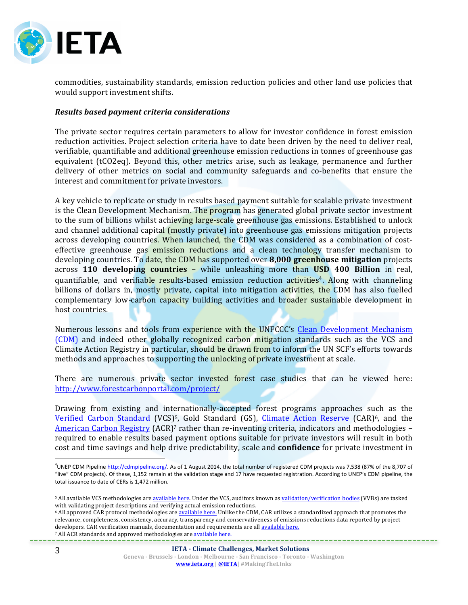

commodities, sustainability standards, emission reduction policies and other land use policies that would support investment shifts.

#### *Results based payment criteria considerations*

The private sector requires certain parameters to allow for investor confidence in forest emission reduction activities. Project selection criteria have to date been driven by the need to deliver real, verifiable, quantifiable and additional greenhouse emission reductions in tonnes of greenhouse gas equivalent (tCO2eq). Beyond this, other metrics arise, such as leakage, permanence and further delivery of other metrics on social and community safeguards and co-benefits that ensure the interest and commitment for private investors.

A key vehicle to replicate or study in results based payment suitable for scalable private investment is the Clean Development Mechanism. The program has generated global private sector investment to the sum of billions whilst achieving large-scale greenhouse gas emissions. Established to unlock and channel additional capital (mostly private) into greenhouse gas emissions mitigation projects across developing countries. When launched, the CDM was considered as a combination of costeffective greenhouse gas emission reductions and a clean technology transfer mechanism to developing countries. To date, the CDM has supported over **8,000 greenhouse mitigation** projects across **110** developing countries – while unleashing more than USD 400 Billion in real, quantifiable, and verifiable results-based emission reduction activities<sup>4</sup>. Along with channeling billions of dollars in, mostly private, capital into mitigation activities, the CDM has also fuelled complementary low-carbon capacity building activities and broader sustainable development in host countries.

Numerous lessons and tools from experience with the UNFCCC's Clean Development Mechanism (CDM) and indeed other globally recognized carbon mitigation standards such as the VCS and Climate Action Registry in particular, should be drawn from to inform the UN SCF's efforts towards methods and approaches to supporting the unlocking of private investment at scale.

There are numerous private sector invested forest case studies that can be viewed here: http://www.forestcarbonportal.com/project/

Drawing from existing and internationally-accepted forest programs approaches such as the Verified Carbon Standard (VCS)<sup>5</sup>, Gold Standard (GS), Climate Action Reserve (CAR)<sup>6</sup>, and the American Carbon Registry (ACR)<sup>7</sup> rather than re-inventing criteria, indicators and methodologies required to enable results based payment options suitable for private investors will result in both cost and time savings and help drive predictability, scale and **confidence** for private investment in

#### **IETA** - **Climate Challenges**, Market Solutions

 $\overline{a}$ 

<sup>&</sup>lt;sup>4</sup>UNEP CDM Pipeline http://cdmpipeline.org/. As of 1 August 2014, the total number of registered CDM projects was 7,538 (87% of the 8,707 of "live" CDM projects). Of these, 1,152 remain at the validation stage and 17 have requested registration. According to UNEP's CDM pipeline, the total issuance to date of CERs is 1,472 million.

<sup>&</sup>lt;sup>5</sup> All available VCS methodologies are available here. Under the VCS, auditors known as validation/verification bodies (VVBs) are tasked with validating project descriptions and verifying actual emission reductions.

<sup>&</sup>lt;sup>6</sup> All approved CAR protocol methodologies are available here. Unlike the CDM, CAR utilizes a standardized approach that promotes the relevance, completeness, consistency, accuracy, transparency and conservativeness of emissions reductions data reported by project developers. CAR verification manuals, documentation and requirements are all available here. 7 All ACR standards and approved methodologies are available here.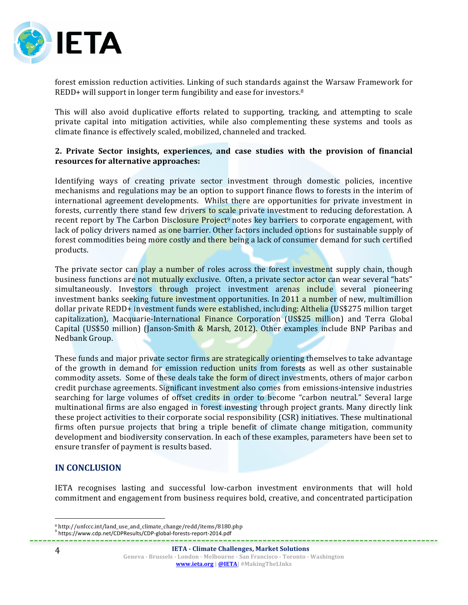

forest emission reduction activities. Linking of such standards against the Warsaw Framework for REDD+ will support in longer term fungibility and ease for investors.<sup>8</sup>

This will also avoid duplicative efforts related to supporting, tracking, and attempting to scale private capital into mitigation activities, while also complementing these systems and tools as climate finance is effectively scaled, mobilized, channeled and tracked.

## **2. Private Sector insights, experiences, and case studies with the provision of financial resources for alternative approaches:**

Identifying ways of creating private sector investment through domestic policies, incentive mechanisms and regulations may be an option to support finance flows to forests in the interim of international agreement developments. Whilst there are opportunities for private investment in forests, currently there stand few drivers to scale private investment to reducing deforestation. A recent report by The Carbon Disclosure Project<sup>9</sup> notes key barriers to corporate engagement, with lack of policy drivers named as one barrier. Other factors included options for sustainable supply of forest commodities being more costly and there being a lack of consumer demand for such certified products. 

The private sector can play a number of roles across the forest investment supply chain, though business functions are not mutually exclusive. Often, a private sector actor can wear several "hats" simultaneously. Investors **through** project investment arenas include several pioneering investment banks seeking future investment opportunities. In 2011 a number of new, multimillion dollar private REDD+ investment funds were established, including: Althelia (US\$275 million target capitalization), Macquarie-International Finance Corporation (US\$25 million) and Terra Global Capital (US\$50 million) (Janson-Smith & Marsh, 2012). Other examples include BNP Paribas and Nedbank Group. 

These funds and major private sector firms are strategically orienting themselves to take advantage of the growth in demand for emission reduction units from forests as well as other sustainable commodity assets. Some of these deals take the form of direct investments, others of major carbon credit purchase agreements. Significant investment also comes from emissions-intensive industries searching for large volumes of offset credits in order to become "carbon neutral." Several large multinational firms are also engaged in forest investing through project grants. Many directly link these project activities to their corporate social responsibility (CSR) initiatives. These multinational firms often pursue projects that bring a triple benefit of climate change mitigation, community development and biodiversity conservation. In each of these examples, parameters have been set to ensure transfer of payment is results based.

## **IN CONCLUSION**

IETA recognises lasting and successful low-carbon investment environments that will hold commitment and engagement from business requires bold, creative, and concentrated participation

 $\overline{a}$ 

<sup>8</sup> http://unfccc.int/land\_use\_and\_climate\_change/redd/items/8180.php

<sup>9</sup> https://www.cdp.net/CDPResults/CDP-global-forests-report-2014.pdf